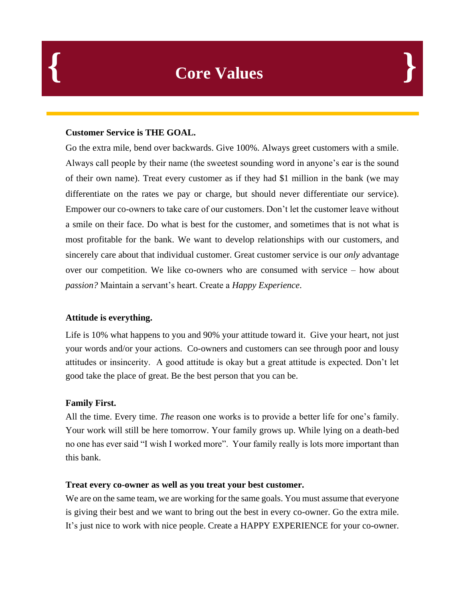## **Customer Service is THE GOAL.**

Go the extra mile, bend over backwards. Give 100%. Always greet customers with a smile. Always call people by their name (the sweetest sounding word in anyone's ear is the sound of their own name). Treat every customer as if they had \$1 million in the bank (we may differentiate on the rates we pay or charge, but should never differentiate our service). Empower our co-owners to take care of our customers. Don't let the customer leave without a smile on their face. Do what is best for the customer, and sometimes that is not what is most profitable for the bank. We want to develop relationships with our customers, and sincerely care about that individual customer. Great customer service is our *only* advantage over our competition. We like co-owners who are consumed with service – how about *passion?* Maintain a servant's heart. Create a *Happy Experience*.

# **Attitude is everything.**

Life is 10% what happens to you and 90% your attitude toward it. Give your heart, not just your words and/or your actions. Co-owners and customers can see through poor and lousy attitudes or insincerity. A good attitude is okay but a great attitude is expected. Don't let good take the place of great. Be the best person that you can be.

# **Family First.**

All the time. Every time. *The* reason one works is to provide a better life for one's family. Your work will still be here tomorrow. Your family grows up. While lying on a death-bed no one has ever said "I wish I worked more". Your family really is lots more important than this bank.

# **Treat every co-owner as well as you treat your best customer.**

We are on the same team, we are working for the same goals. You must assume that everyone is giving their best and we want to bring out the best in every co-owner. Go the extra mile. It's just nice to work with nice people. Create a HAPPY EXPERIENCE for your co-owner.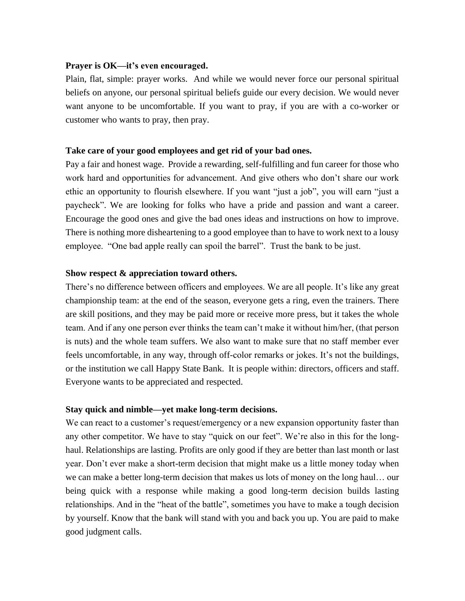#### **Prayer is OK—it's even encouraged.**

Plain, flat, simple: prayer works. And while we would never force our personal spiritual beliefs on anyone, our personal spiritual beliefs guide our every decision. We would never want anyone to be uncomfortable. If you want to pray, if you are with a co-worker or customer who wants to pray, then pray.

#### **Take care of your good employees and get rid of your bad ones.**

Pay a fair and honest wage. Provide a rewarding, self-fulfilling and fun career for those who work hard and opportunities for advancement. And give others who don't share our work ethic an opportunity to flourish elsewhere. If you want "just a job", you will earn "just a paycheck". We are looking for folks who have a pride and passion and want a career. Encourage the good ones and give the bad ones ideas and instructions on how to improve. There is nothing more disheartening to a good employee than to have to work next to a lousy employee. "One bad apple really can spoil the barrel". Trust the bank to be just.

#### **Show respect & appreciation toward others.**

There's no difference between officers and employees. We are all people. It's like any great championship team: at the end of the season, everyone gets a ring, even the trainers. There are skill positions, and they may be paid more or receive more press, but it takes the whole team. And if any one person ever thinks the team can't make it without him/her, (that person is nuts) and the whole team suffers. We also want to make sure that no staff member ever feels uncomfortable, in any way, through off-color remarks or jokes. It's not the buildings, or the institution we call Happy State Bank. It is people within: directors, officers and staff. Everyone wants to be appreciated and respected.

#### **Stay quick and nimble—yet make long-term decisions.**

We can react to a customer's request/emergency or a new expansion opportunity faster than any other competitor. We have to stay "quick on our feet". We're also in this for the longhaul. Relationships are lasting. Profits are only good if they are better than last month or last year. Don't ever make a short-term decision that might make us a little money today when we can make a better long-term decision that makes us lots of money on the long haul… our being quick with a response while making a good long-term decision builds lasting relationships. And in the "heat of the battle", sometimes you have to make a tough decision by yourself. Know that the bank will stand with you and back you up. You are paid to make good judgment calls.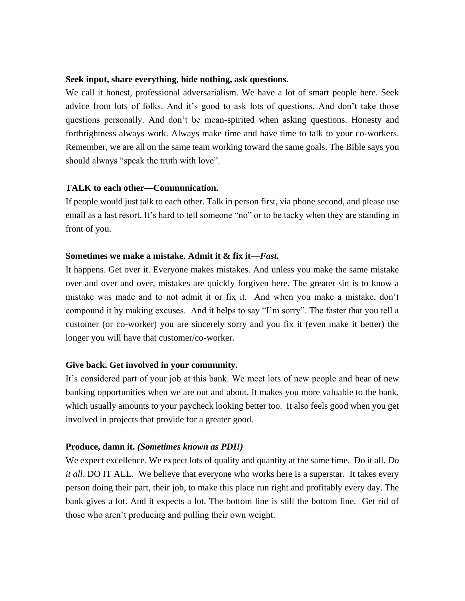#### **Seek input, share everything, hide nothing, ask questions.**

We call it honest, professional adversarialism. We have a lot of smart people here. Seek advice from lots of folks. And it's good to ask lots of questions. And don't take those questions personally. And don't be mean-spirited when asking questions. Honesty and forthrightness always work. Always make time and have time to talk to your co-workers. Remember, we are all on the same team working toward the same goals. The Bible says you should always "speak the truth with love".

#### **TALK to each other—Communication.**

If people would just talk to each other. Talk in person first, via phone second, and please use email as a last resort. It's hard to tell someone "no" or to be tacky when they are standing in front of you.

## **Sometimes we make a mistake. Admit it & fix it—***Fast.*

It happens. Get over it. Everyone makes mistakes. And unless you make the same mistake over and over and over, mistakes are quickly forgiven here. The greater sin is to know a mistake was made and to not admit it or fix it. And when you make a mistake, don't compound it by making excuses. And it helps to say "I'm sorry". The faster that you tell a customer (or co-worker) you are sincerely sorry and you fix it (even make it better) the longer you will have that customer/co-worker.

## **Give back. Get involved in your community.**

It's considered part of your job at this bank. We meet lots of new people and hear of new banking opportunities when we are out and about. It makes you more valuable to the bank, which usually amounts to your paycheck looking better too. It also feels good when you get involved in projects that provide for a greater good.

## **Produce, damn it.** *(Sometimes known as PDI!)*

We expect excellence. We expect lots of quality and quantity at the same time. Do it all. *Do it all*. DO IT ALL. We believe that everyone who works here is a superstar. It takes every person doing their part, their job, to make this place run right and profitably every day. The bank gives a lot. And it expects a lot. The bottom line is still the bottom line. Get rid of those who aren't producing and pulling their own weight.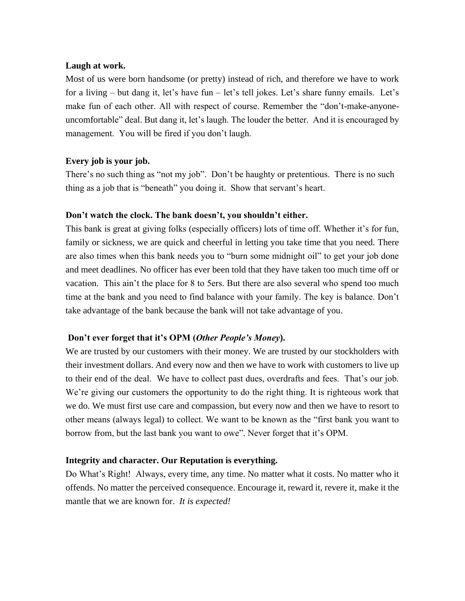## **Laugh at work.**

Most of us were born handsome (or pretty) instead of rich, and therefore we have to work for a living – but dang it, let's have fun – let's tell jokes. Let's share funny emails. Let's make fun of each other. All with respect of course. Remember the "don't-make-anyoneuncomfortable" deal. But dang it, let's laugh. The louder the better. And it is encouraged by management. You will be fired if you don't laugh.

## **Every job is your job.**

There's no such thing as "not my job". Don't be haughty or pretentious. There is no such thing as a job that is "beneath" you doing it. Show that servant's heart.

## **Don't watch the clock. The bank doesn't, you shouldn't either.**

This bank is great at giving folks (especially officers) lots of time off. Whether it's for fun, family or sickness, we are quick and cheerful in letting you take time that you need. There are also times when this bank needs you to "burn some midnight oil" to get your job done and meet deadlines. No officer has ever been told that they have taken too much time off or vacation. This ain't the place for 8 to 5ers. But there are also several who spend too much time at the bank and you need to find balance with your family. The key is balance. Don't take advantage of the bank because the bank will not take advantage of you.

## **Don't ever forget that it's OPM (***Other People's Money***).**

We are trusted by our customers with their money. We are trusted by our stockholders with their investment dollars. And every now and then we have to work with customers to live up to their end of the deal. We have to collect past dues, overdrafts and fees. That's our job. We're giving our customers the opportunity to do the right thing. It is righteous work that we do. We must first use care and compassion, but every now and then we have to resort to other means (always legal) to collect. We want to be known as the "first bank you want to borrow from, but the last bank you want to owe". Never forget that it's OPM.

## **Integrity and character. Our Reputation is everything.**

Do What's Right! Always, every time, any time. No matter what it costs. No matter who it offends. No matter the perceived consequence. Encourage it, reward it, revere it, make it the mantle that we are known for. *It is expected!*